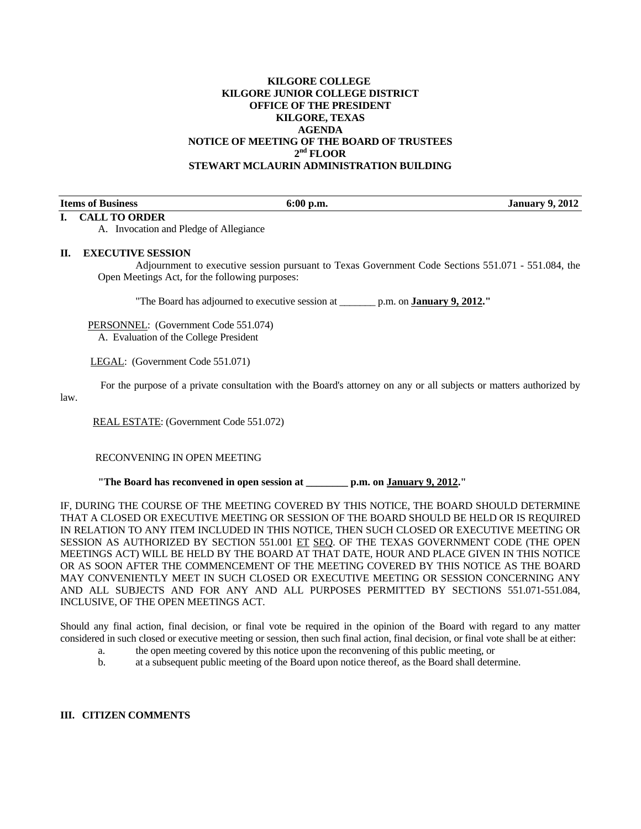#### **KILGORE COLLEGE KILGORE JUNIOR COLLEGE DISTRICT OFFICE OF THE PRESIDENT KILGORE, TEXAS AGENDA NOTICE OF MEETING OF THE BOARD OF TRUSTEES 2nd FLOOR STEWART MCLAURIN ADMINISTRATION BUILDING**

#### **I. CALL TO ORDER**

law.

**If**  $\frac{1}{2}$  **Is a Secure 1 Is a Secure 1 Is a Secure 1 Is a Secure 1 Is a Secure 1 Is a Secure 1 Is a Secure 1 Is a Secure 1 Is a Secure 1 Is a Secure 1 Is a Secure 1 Is a Secure 1 Is a Secure 1** 

A. Invocation and Pledge of Allegiance

#### **II. EXECUTIVE SESSION**

 Adjournment to executive session pursuant to Texas Government Code Sections 551.071 - 551.084, the Open Meetings Act, for the following purposes:

"The Board has adjourned to executive session at \_\_\_\_\_\_\_ p.m. on **January 9, 2012."** 

 PERSONNEL: (Government Code 551.074) A. Evaluation of the College President

LEGAL: (Government Code 551.071)

For the purpose of a private consultation with the Board's attorney on any or all subjects or matters authorized by

REAL ESTATE: (Government Code 551.072)

RECONVENING IN OPEN MEETING

 **"The Board has reconvened in open session at \_\_\_\_\_\_\_\_ p.m. on January 9, 2012."** 

IF, DURING THE COURSE OF THE MEETING COVERED BY THIS NOTICE, THE BOARD SHOULD DETERMINE THAT A CLOSED OR EXECUTIVE MEETING OR SESSION OF THE BOARD SHOULD BE HELD OR IS REQUIRED IN RELATION TO ANY ITEM INCLUDED IN THIS NOTICE, THEN SUCH CLOSED OR EXECUTIVE MEETING OR SESSION AS AUTHORIZED BY SECTION 551.001 ET SEQ. OF THE TEXAS GOVERNMENT CODE (THE OPEN MEETINGS ACT) WILL BE HELD BY THE BOARD AT THAT DATE, HOUR AND PLACE GIVEN IN THIS NOTICE OR AS SOON AFTER THE COMMENCEMENT OF THE MEETING COVERED BY THIS NOTICE AS THE BOARD MAY CONVENIENTLY MEET IN SUCH CLOSED OR EXECUTIVE MEETING OR SESSION CONCERNING ANY AND ALL SUBJECTS AND FOR ANY AND ALL PURPOSES PERMITTED BY SECTIONS 551.071-551.084, INCLUSIVE, OF THE OPEN MEETINGS ACT.

Should any final action, final decision, or final vote be required in the opinion of the Board with regard to any matter considered in such closed or executive meeting or session, then such final action, final decision, or final vote shall be at either:

- a. the open meeting covered by this notice upon the reconvening of this public meeting, or
- b. at a subsequent public meeting of the Board upon notice thereof, as the Board shall determine.

#### **III. CITIZEN COMMENTS**